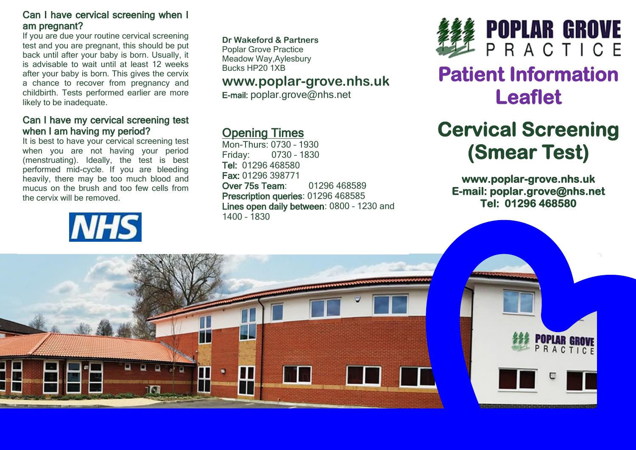### Can I have cervical screening when I am pregnant?

If you are due your routine cervical screening test and you are pregnant, this should be put back until after your baby is born. Usually, it is advisable to wait until at least 12 weeks after your baby is born. This gives the cervix a chance to recover from pregnancy and childbirth. Tests performed earlier are more likely to be inadequate.

### Can I have my cervical screening test when I am having my period?

It is best to have your cervical screening test when you are not having your period (menstruating). Ideally, the test is best performed mid-cycle. If you are bleeding heavily, there may be too much blood and mucus on the brush and too few cells from the cervix will be removed.



**Dr Wakeford & Partners** Poplar Grove Practice

Meadow Way,Aylesbury Bucks HP20 1XB

### **www.poplar-grove.nhs.uk**

E-mail: [poplar.grove@nhs.net](mailto:poplar.grove@nhs.net)

## Opening Times

Mon-Thurs: 0730 – 1930 Friday: 0730 – 1830 Tel: 01296 468580 Fax: 01296 398771 Over 75s Team: 01296 468589 Prescription queries: 01296 468585 Lines open daily between: 0800 – 1230 and 1400 – 1830



## **Patient Information Leaflet**

# **Cervical Screening (Smear Test)**

**www.poplar-grove.nhs.uk E-mail: poplar.grove@nhs.net Tel: 01296 468580**